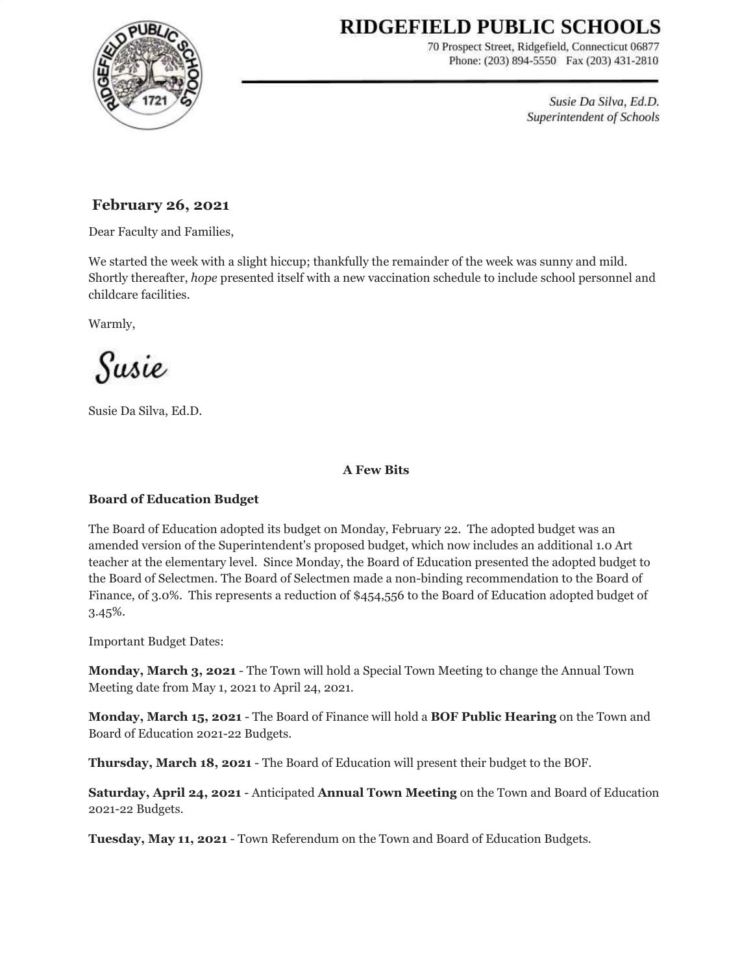# RIDGEFIELD PUBLIC SCHOOLS



70 Prospect Street, Ridgefield, Connecticut 06877 Phone: (203) 894-5550 Fax (203) 431-2810

> Susie Da Silva, Ed.D. Superintendent of Schools

# **February 26, 2021**

Dear Faculty and Families,

We started the week with a slight hiccup; thankfully the remainder of the week was sunny and mild. Shortly thereafter, *hope* presented itself with a new vaccination schedule to include school personnel and childcare facilities.

Warmly,

Susie

Susie Da Silva, Ed.D.

# **A Few Bits**

# **Board of Education Budget**

The Board of Education adopted its budget on Monday, February 22. The adopted budget was an amended version of the Superintendent's proposed budget, which now includes an additional 1.0 Art teacher at the elementary level. Since Monday, the Board of Education presented the adopted budget to the Board of Selectmen. The Board of Selectmen made a non-binding recommendation to the Board of Finance, of 3.0%. This represents a reduction of \$454,556 to the Board of Education adopted budget of 3.45%.

Important Budget Dates:

**Monday, March 3, 2021** - The Town will hold a Special Town Meeting to change the Annual Town Meeting date from May 1, 2021 to April 24, 2021.

**Monday, March 15, 2021** - The Board of Finance will hold a **BOF Public Hearing** on the Town and Board of Education 2021-22 Budgets.

**Thursday, March 18, 2021** - The Board of Education will present their budget to the BOF.

**Saturday, April 24, 2021** - Anticipated **Annual Town Meeting** on the Town and Board of Education 2021-22 Budgets.

**Tuesday, May 11, 2021** - Town Referendum on the Town and Board of Education Budgets.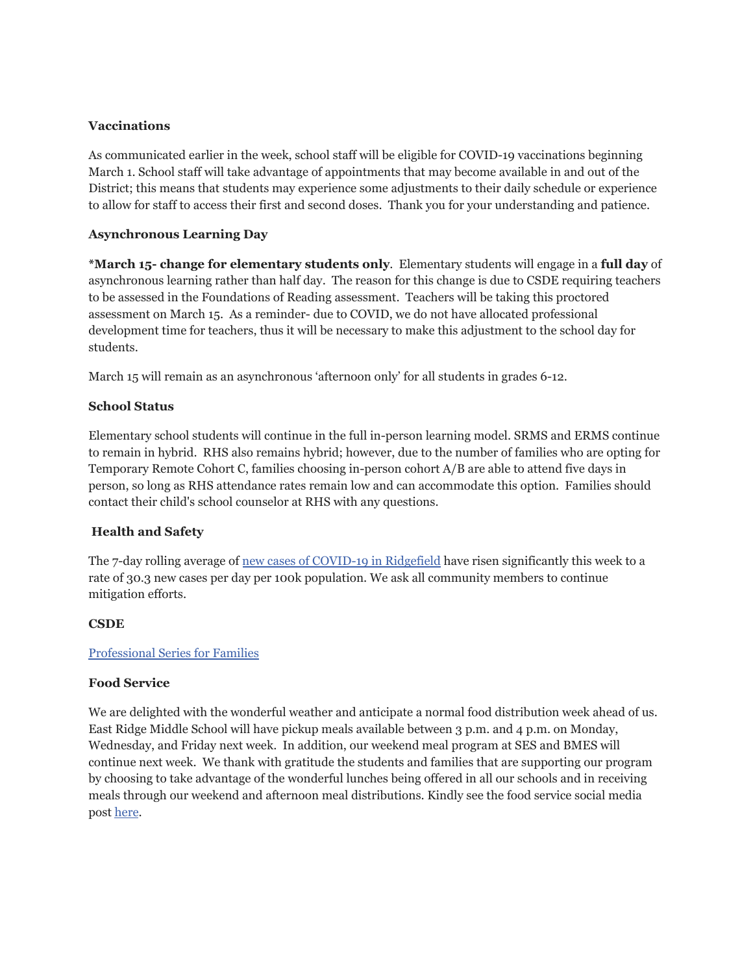## **Vaccinations**

As communicated earlier in the week, school staff will be eligible for COVID-19 vaccinations beginning March 1. School staff will take advantage of appointments that may become available in and out of the District; this means that students may experience some adjustments to their daily schedule or experience to allow for staff to access their first and second doses. Thank you for your understanding and patience.

## **Asynchronous Learning Day**

**\*March 15- change for elementary students only**. Elementary students will engage in a **full day** of asynchronous learning rather than half day. The reason for this change is due to CSDE requiring teachers to be assessed in the Foundations of Reading assessment. Teachers will be taking this proctored assessment on March 15. As a reminder- due to COVID, we do not have allocated professional development time for teachers, thus it will be necessary to make this adjustment to the school day for students.

March 15 will remain as an asynchronous 'afternoon only' for all students in grades 6-12.

## **School Status**

Elementary school students will continue in the full in-person learning model. SRMS and ERMS continue to remain in hybrid. RHS also remains hybrid; however, due to the number of families who are opting for Temporary Remote Cohort C, families choosing in-person cohort A/B are able to attend five days in person, so long as RHS attendance rates remain low and can accommodate this option. Families should contact their child's school counselor at RHS with any questions.

# **Health and Safety**

The 7-day rolling average of new cases of [COVID-19](https://www.ridgefieldct.org/home/urgent-alerts/covid-updates) in Ridgefield have risen significantly this week to a rate of 30.3 new cases per day per 100k population. We ask all community members to continue mitigation efforts.

#### **CSDE**

#### [Professional](https://drive.google.com/file/d/1JUjctAxIHuNzpbwfTmBl1ncL7b3-INvo/view?usp=sharing) Series for Families

#### **Food Service**

We are delighted with the wonderful weather and anticipate a normal food distribution week ahead of us. East Ridge Middle School will have pickup meals available between 3 p.m. and 4 p.m. on Monday, Wednesday, and Friday next week. In addition, our weekend meal program at SES and BMES will continue next week. We thank with gratitude the students and families that are supporting our program by choosing to take advantage of the wonderful lunches being offered in all our schools and in receiving meals through our weekend and afternoon meal distributions. Kindly see the food service social media post [here](https://drive.google.com/file/d/15ccpeTQFg-tbEk2O2NXL743NXSqigW33/view?usp=sharing).